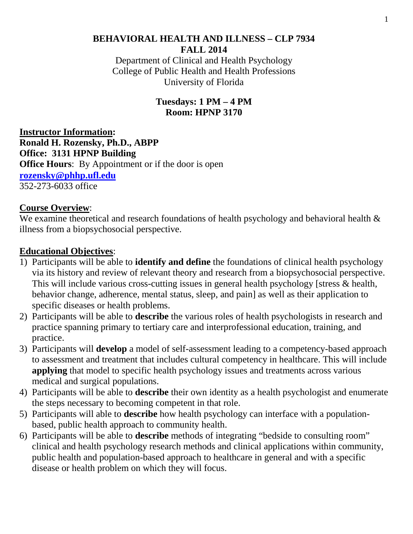# **BEHAVIORAL HEALTH AND ILLNESS – CLP 7934 FALL 2014** Department of Clinical and Health Psychology

College of Public Health and Health Professions University of Florida

> **Tuesdays: 1 PM – 4 PM Room: HPNP 3170**

**Instructor Information: Ronald H. Rozensky, Ph.D., ABPP Office: 3131 HPNP Building Office Hours:** By Appointment or if the door is open **[rozensky@phhp.ufl.edu](mailto:rozensky@phhp.ufl.edu)**  352-273-6033 office

# **Course Overview**:

We examine theoretical and research foundations of health psychology and behavioral health  $\&$ illness from a biopsychosocial perspective.

# **Educational Objectives**:

- 1) Participants will be able to **identify and define** the foundations of clinical health psychology via its history and review of relevant theory and research from a biopsychosocial perspective. This will include various cross-cutting issues in general health psychology [stress & health, behavior change, adherence, mental status, sleep, and pain] as well as their application to specific diseases or health problems.
- 2) Participants will be able to **describe** the various roles of health psychologists in research and practice spanning primary to tertiary care and interprofessional education, training, and practice.
- 3) Participants will **develop** a model of self-assessment leading to a competency-based approach to assessment and treatment that includes cultural competency in healthcare. This will include **applying** that model to specific health psychology issues and treatments across various medical and surgical populations.
- 4) Participants will be able to **describe** their own identity as a health psychologist and enumerate the steps necessary to becoming competent in that role.
- 5) Participants will able to **describe** how health psychology can interface with a populationbased, public health approach to community health.
- 6) Participants will be able to **describe** methods of integrating "bedside to consulting room" clinical and health psychology research methods and clinical applications within community, public health and population-based approach to healthcare in general and with a specific disease or health problem on which they will focus.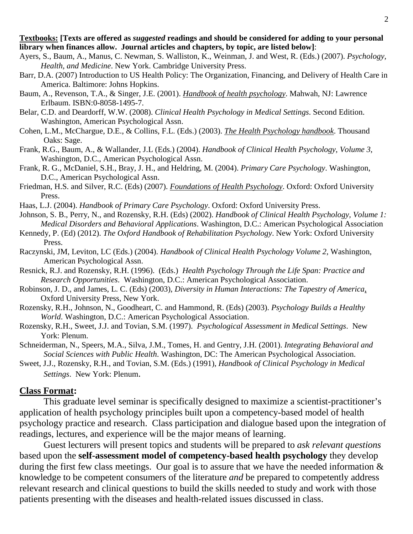#### **Textbooks: [Texts are offered as** *suggested* **readings and should be considered for adding to your personal library when finances allow. Journal articles and chapters, by topic, are listed below]**:

- Ayers, S., Baum, A., Manus, C. Newman, S. Walliston, K., Weinman, J. and West, R. (Eds.) (2007). *Psychology, Health, and Medicine*. New York. Cambridge University Press.
- Barr, D.A. (2007) Introduction to US Health Policy: The Organization, Financing, and Delivery of Health Care in America. Baltimore: Johns Hopkins.
- Baum, A., Revenson, T.A., & Singer, J.E. (2001). *Handbook of health psychology*. Mahwah, NJ: Lawrence Erlbaum. ISBN:0-8058-1495-7.
- Belar, C.D. and Deardorff, W.W. (2008). *Clinical Health Psychology in Medical Settings*. Second Edition. Washington, American Psychological Assn.
- Cohen, L.M., McChargue, D.E., & Collins, F.L. (Eds.) (2003). *The Health Psychology handbook*. Thousand Oaks: Sage.
- Frank, R.G., Baum, A., & Wallander, J.L (Eds.) (2004). *Handbook of Clinical Health Psychology*, *Volume 3*, Washington, D.C., American Psychological Assn.
- Frank, R. G., McDaniel, S.H., Bray, J. H., and Heldring, M. (2004). *Primary Care Psychology*. Washington, D.C., American Psychological Assn.
- Friedman, H.S. and Silver, R.C. (Eds) (2007). *Foundations of Health Psychology*. Oxford: Oxford University Press.
- Haas, L.J. (2004). *Handbook of Primary Care Psychology*. Oxford: Oxford University Press.
- Johnson, S. B., Perry, N., and Rozensky, R.H. (Eds) (2002). *Handbook of Clinical Health Psychology, Volume 1: Medical Disorders and Behavioral Applications*. Washington, D.C.: American Psychological Association
- Kennedy, P. (Ed) (2012). *The Oxford Handbook of Rehabilitation Psychology*. New York: Oxford University Press.
- Raczynski, JM, Leviton, LC (Eds.) (2004). *Handbook of Clinical Health Psychology Volume 2*, Washington, American Psychological Assn.
- Resnick, R.J. and Rozensky, R.H. (1996). (Eds.) *Health Psychology Through the Life Span: Practice and Research Opportunities*. Washington, D.C.: American Psychological Association.
- Robinson, J. D., and James, L. C. (Eds) (2003), *Diversity in Human Interactions: The Tapestry of America*, Oxford University Press, New York.
- Rozensky, R.H., Johnson, N., Goodheart, C. and Hammond, R. (Eds) (2003). *Psychology Builds a Healthy World*. Washington, D.C.: American Psychological Association.
- Rozensky, R.H., Sweet, J.J. and Tovian, S.M. (1997). *Psychological Assessment in Medical Settings*. New York: Plenum.
- Schneiderman, N., Speers, M.A., Silva, J.M., Tomes, H. and Gentry, J.H. (2001). *Integrating Behavioral and Social Sciences with Public Health*. Washington, DC: The American Psychological Association.
- Sweet, J.J., Rozensky, R.H., and Tovian, S.M. (Eds.) (1991), *Handbook of Clinical Psychology in Medical Settings*. New York: Plenum.

# **Class Format:**

This graduate level seminar is specifically designed to maximize a scientist-practitioner's application of health psychology principles built upon a competency-based model of health psychology practice and research. Class participation and dialogue based upon the integration of readings, lectures, and experience will be the major means of learning.

Guest lecturers will present topics and students will be prepared to *ask relevant questions* based upon the **self-assessment model of competency-based health psychology** they develop during the first few class meetings. Our goal is to assure that we have the needed information  $\&$ knowledge to be competent consumers of the literature *and* be prepared to competently address relevant research and clinical questions to build the skills needed to study and work with those patients presenting with the diseases and health-related issues discussed in class.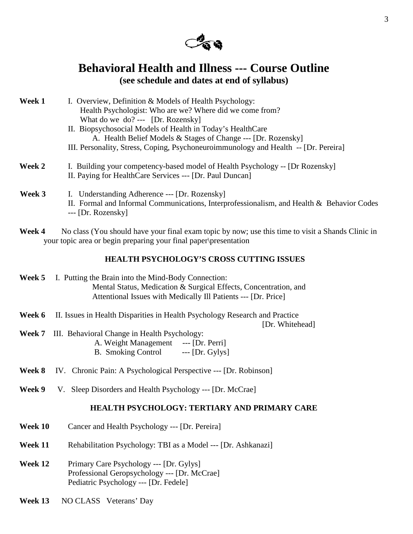

# **Behavioral Health and Illness --- Course Outline (see schedule and dates at end of syllabus)**

| Week 1           | I. Overview, Definition & Models of Health Psychology:                                                                                    |
|------------------|-------------------------------------------------------------------------------------------------------------------------------------------|
|                  | Health Psychologist: Who are we? Where did we come from?                                                                                  |
|                  | What do we do? --- $[Dr. Rozensky]$                                                                                                       |
|                  | II. Biopsychosocial Models of Health in Today's Health Care                                                                               |
|                  | A. Health Belief Models & Stages of Change --- [Dr. Rozensky]                                                                             |
|                  | III. Personality, Stress, Coping, Psychoneuroimmunology and Health -- [Dr. Pereira]                                                       |
| Week 2           | I. Building your competency-based model of Health Psychology -- [Dr Rozensky]<br>II. Paying for HealthCare Services --- [Dr. Paul Duncan] |
| $W_{\mathbf{P}}$ | Inderstanding Adherence --- [Dr. Rozensky]                                                                                                |

- **Week 3** I. Understanding Adherence --- [Dr. Rozensky] II. Formal and Informal Communications, Interprofessionalism, and Health & Behavior Codes --- [Dr. Rozensky]
- Week 4 No class (You should have your final exam topic by now; use this time to visit a Shands Clinic in your topic area or begin preparing your final paper\presentation

## **HEALTH PSYCHOLOGY'S CROSS CUTTING ISSUES**

| Week 5 | I. Putting the Brain into the Mind-Body Connection:              |
|--------|------------------------------------------------------------------|
|        | Mental Status, Medication & Surgical Effects, Concentration, and |
|        | Attentional Issues with Medically Ill Patients --- [Dr. Price]   |

**Week 6** II. Issues in Health Disparities in Health Psychology Research and Practice

[Dr. Whitehead]

- **Week 7** III. Behavioral Change in Health Psychology: A. Weight Management --- [Dr. Perri] B. Smoking Control --- [Dr. Gylys]
- **Week 8** IV. Chronic Pain: A Psychological Perspective --- [Dr. Robinson]
- **Week 9** V. Sleep Disorders and Health Psychology --- [Dr. McCrae]

#### **HEALTH PSYCHOLOGY: TERTIARY AND PRIMARY CARE**

- **Week 10** Cancer and Health Psychology --- [Dr. Pereira]
- **Week 11** Rehabilitation Psychology: TBI as a Model --- [Dr. Ashkanazi]
- **Week 12** Primary Care Psychology --- [Dr. Gylys] Professional Geropsychology --- [Dr. McCrae] Pediatric Psychology --- [Dr. Fedele]
- Week 13 NO CLASS Veterans' Day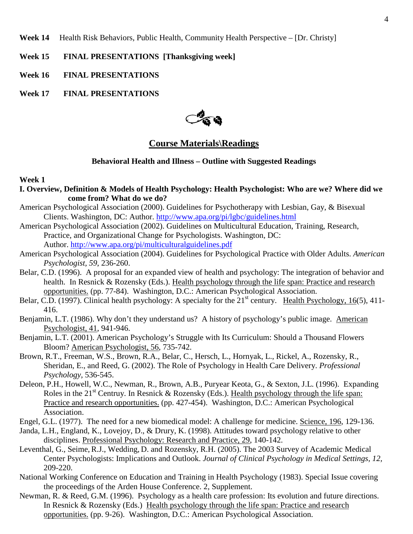Week 14 Health Risk Behaviors, Public Health, Community Health Perspective – [Dr. Christy]

- **Week 15 FINAL PRESENTATIONS [Thanksgiving week]**
- **Week 16 FINAL PRESENTATIONS**
- **Week 17 FINAL PRESENTATIONS**



# **Course Materials\Readings**

#### **Behavioral Health and Illness – Outline with Suggested Readings**

#### **Week 1**

- **I. Overview, Definition & Models of Health Psychology: Health Psychologist: Who are we? Where did we come from? What do we do?**
- American Psychological Association (2000). Guidelines for Psychotherapy with Lesbian, Gay, & Bisexual Clients. Washington, DC: Author.<http://www.apa.org/pi/lgbc/guidelines.html>
- American Psychological Association (2002). Guidelines on Multicultural Education, Training, Research, Practice, and Organizational Change for Psychologists. Washington, DC: Author.<http://www.apa.org/pi/multiculturalguidelines.pdf>
- American Psychological Association (2004). Guidelines for Psychological Practice with Older Adults. *American Psychologist, 59*, 236-260.
- Belar, C.D. (1996). A proposal for an expanded view of health and psychology: The integration of behavior and health. In Resnick & Rozensky (Eds.). Health psychology through the life span: Practice and research opportunities. (pp. 77-84). Washington, D.C.: American Psychological Association.
- Belar, C.D. (1997). Clinical health psychology: A specialty for the  $21<sup>st</sup>$  century. Health Psychology, 16(5), 411-416.
- Benjamin, L.T. (1986). Why don't they understand us? A history of psychology's public image. American Psychologist, 41, 941-946.
- Benjamin, L.T. (2001). American Psychology's Struggle with Its Curriculum: Should a Thousand Flowers Bloom? American Psychologist, 56, 735-742.
- Brown, R.T., Freeman, W.S., Brown, R.A., Belar, C., Hersch, L., Hornyak, L., Rickel, A., Rozensky, R., Sheridan, E., and Reed, G. (2002). The Role of Psychology in Health Care Delivery. *Professional Psychology,* 536-545.
- Deleon, P.H., Howell, W.C., Newman, R., Brown, A.B., Puryear Keota, G., & Sexton, J.L. (1996). Expanding Roles in the  $21<sup>st</sup>$  Centruy. In Resnick & Rozensky (Eds.). Health psychology through the life span: Practice and research opportunities. (pp. 427-454). Washington, D.C.: American Psychological Association.
- Engel, G.L. (1977). The need for a new biomedical model: A challenge for medicine. Science, 196, 129-136.
- Janda, L.H., England, K., Lovejoy, D., & Drury, K. (1998). Attitudes toward psychology relative to other disciplines. Professional Psychology: Research and Practice, 29, 140-142.
- Leventhal, G., Seime, R.J., Wedding, D. and Rozensky, R.H. (2005). The 2003 Survey of Academic Medical Center Psychologists: Implications and Outlook. *Journal of Clinical Psychology in Medical Settings, 12,*  209-220.
- National Working Conference on Education and Training in Health Psychology (1983). Special Issue covering the proceedings of the Arden House Conference. 2, Supplement.
- Newman, R. & Reed, G.M. (1996). Psychology as a health care profession: Its evolution and future directions. In Resnick & Rozensky (Eds.) Health psychology through the life span: Practice and research opportunities. (pp. 9-26). Washington, D.C.: American Psychological Association.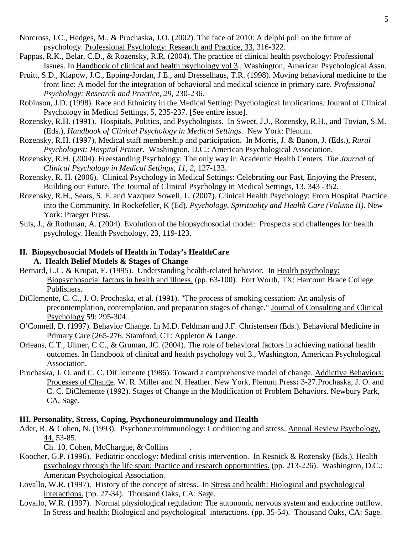- Norcross, J.C., Hedges, M., & Prochaska, J.O. (2002). The face of 2010: A delphi poll on the future of psychology. Professional Psychology: Research and Practice, 33, 316-322.
- Pappas, R.K., Belar, C.D., & Rozensky, R.R. (2004). The practice of clinical health psychology: Professional Issues. In Handbook of clinical and health psychology vol 3., Washington, American Psychological Assn.
- Pruitt, S.D., Klapow, J.C., Epping-Jordan, J.E., and Dresselhaus, T.R. (1998). Moving behavioral medicine to the front line: A model for the integration of behavioral and medical science in primary care. *Professional Psychology: Research and Practice, 29*, 230-236.
- Robinson, J.D. (1998). Race and Ethnicity in the Medical Setting: Psychological Implications. Jouranl of Clinical Psychology in Medical Settings, 5, 235-237. [See entire issue].
- Rozensky, R.H. (1991). Hospitals, Politics, and Psychologists. In Sweet, J.J., Rozensky, R.H., and Tovian, S.M. (Eds.), *Handbook of Clinical Psychology in Medical Settings*. New York: Plenum.
- Rozensky, R.H. (1997), Medical staff membership and participation. In Morris, J. & Banon, J. (Eds.), *Rural Psychologist: Hospital Primer*. Washington, D.C.: American Psychological Association.
- Rozensky, R.H. (2004). Freestanding Psychology: The only way in Academic Health Centers. *The Journal of Clinical Psychology in Medical Settings, 11, 2*, 127-133.
- Rozensky, R. H. (2006). Clinical Psychology in Medical Settings: Celebrating our Past, Enjoying the Present, Building our Future. The Journal of Clinical Psychology in Medical Settings, 13. 343 -352*.*
- Rozensky, R.H., Sears, S. F. and Vazquez Sowell, L. (2007). Clinical Health Psychology: From Hospital Practice into the Community. In Rockefeller, K (Ed). *Psychology, Spirituality and Health Care (Volume II)*. New York: Praeger Press.
- Suls, J., & Rothman, A. (2004). Evolution of the biopsychosocial model: Prospects and challenges for health psychology. Health Psychology, 23, 119-123.

#### **II. Biopsychosocial Models of Health in Today's HealthCare A. Health Belief Models & Stages of Change**

- Bernard, L.C. & Krupat, E. (1995). Understanding health-related behavior. In Health psychology: Biopsychosocial factors in health and illness. (pp. 63-100). Fort Worth, TX: Harcourt Brace College Publishers.
- DiClemente, C. C., J. O. Prochaska, et al. (1991). "The process of smoking cessation: An analysis of precontemplation, contemplation, and preparation stages of change." Journal of Consulting and Clinical Psychology **59**: 295-304..
- O'Connell, D. (1997). Behavior Change. In M.D. Feldman and J.F. Christensen (Eds.). Behavioral Medicine in Primary Care (265-276. Stamford, CT: Appleton & Lange.
- Orleans, C.T., Ulmer, C.C., & Gruman, JC. (2004). The role of behavioral factors in achieving national health outcomes. In Handbook of clinical and health psychology vol 3., Washington, American Psychological Association.
- Prochaska, J. O. and C. C. DiClemente (1986). Toward a comprehensive model of change. Addictive Behaviors: Processes of Change. W. R. Miller and N. Heather. New York, Plenum Press**:** 3-27.Prochaska, J. O. and C. C. DiClemente (1992). Stages of Change in the Modification of Problem Behaviors. Newbury Park, CA, Sage.

## **III. Personality, Stress, Coping, Psychoneuroimmunology and Health**

Ader, R. & Cohen, N. (1993). Psychoneuroimmunology: Conditioning and stress. Annual Review Psychology, 44, 53-85.

Ch. 10, Cohen, McChargue, & Collins .

- Koocher, G.P. (1996). Pediatric oncology: Medical crisis intervention. In Resnick & Rozensky (Eds.). Health psychology through the life span: Practice and research opportunities. (pp. 213-226). Washington, D.C.: American Psychological Association.
- Lovallo, W.R. (1997). History of the concept of stress. In Stress and health: Biological and psychological interactions. (pp. 27-34). Thousand Oaks, CA: Sage.
- Lovallo, W.R. (1997). Normal physiological regulation: The autonomic nervous system and endocrine outflow. In Stress and health: Biological and psychological interactions. (pp. 35-54). Thousand Oaks, CA: Sage.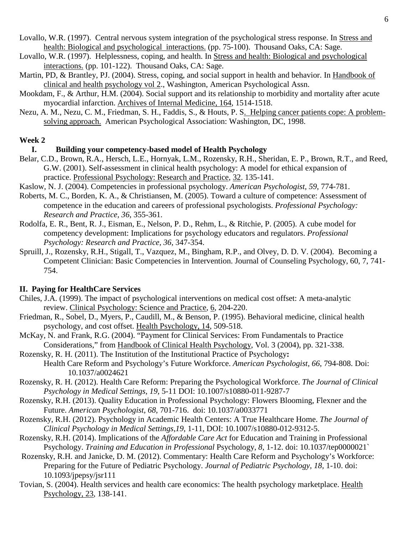- Lovallo, W.R. (1997). Central nervous system integration of the psychological stress response. In Stress and health: Biological and psychological interactions. (pp. 75-100). Thousand Oaks, CA: Sage.
- Lovallo, W.R. (1997). Helplessness, coping, and health. In Stress and health: Biological and psychological interactions. (pp. 101-122). Thousand Oaks, CA: Sage.
- Martin, PD, & Brantley, PJ. (2004). Stress, coping, and social support in health and behavior. In Handbook of clinical and health psychology vol 2., Washington, American Psychological Assn.
- Mookdam, F., & Arthur, H.M. (2004). Social support and its relationship to morbidity and mortality after acute myocardial infarction. Archives of Internal Medicine, 164, 1514-1518.
- Nezu, A. M., Nezu, C. M., Friedman, S. H., Faddis, S., & Houts, P. S. Helping cancer patients cope: A problemsolving approach. American Psychological Association: Washington, DC, 1998.

#### **Week 2**

#### **I. Building your competency-based model of Health Psychology**

- Belar, C.D., Brown, R.A., Hersch, L.E., Hornyak, L.M., Rozensky, R.H., Sheridan, E. P., Brown, R.T., and Reed, G.W. (2001). Self-assessment in clinical health psychology: A model for ethical expansion of practice. Professional Psychology: Research and Practice, 32. 135-141.
- Kaslow, N. J. (2004). Competencies in professional psychology. *American Psychologist, 59*, 774-781.
- Roberts, M. C., Borden, K. A., & Christiansen, M. (2005). Toward a culture of competence: Assessment of competence in the education and careers of professional psychologists. *Professional Psychology: Research and Practice, 36*, 355-361.
- Rodolfa, E. R., Bent, R. J., Eisman, E., Nelson, P. D., Rehm, L., & Ritchie, P. (2005). A cube model for competency development: Implications for psychology educators and regulators. *Professional Psychology: Research and Practice, 36*, 347-354.
- Spruill, J., Rozensky, R.H., Stigall, T., Vazquez, M., Bingham, R.P., and Olvey, D. D. V. (2004). Becoming a Competent Clinician: Basic Competencies in Intervention. Journal of Counseling Psychology, 60, 7, 741- 754.

## **II. Paying for HealthCare Services**

- Chiles, J.A. (1999). The impact of psychological interventions on medical cost offset: A meta-analytic review. Clinical Psychology: Science and Practice, 6, 204-220.
- Friedman, R., Sobel, D., Myers, P., Caudill, M., & Benson, P. (1995). Behavioral medicine, clinical health psychology, and cost offset. Health Psychology, 14, 509-518.
- McKay, N. and Frank, R.G. (2004). "Payment for Clinical Services: From Fundamentals to Practice Considerations," from Handbook of Clinical Health Psychology, Vol. 3 (2004), pp. 321-338.
- Rozensky, R. H. (2011). The Institution of the Institutional Practice of Psychology**:** Health Care Reform and Psychology's Future Workforce. *American Psychologist, 66*, 794-808. Doi: 10.1037/a0024621
- Rozensky, R. H. (2012). Health Care Reform: Preparing the Psychological Workforce. *The Journal of Clinical Psychology in Medical Settings*, *19*, 5-11 DOI: 10.1007/s10880-011-9287-7
- Rozensky, R.H. (2013). Quality Education in Professional Psychology: Flowers Blooming, Flexner and the Future. *American Psychologist, 68*, 701-716. doi: 10.1037/a0033771
- Rozensky, R.H. (2012). Psychology in Academic Health Centers: A True Healthcare Home. *The Journal of Clinical Psychology in Medical Settings*,*19*, 1-11, DOI: 10.1007/s10880-012-9312-5.
- Rozensky, R.H. (2014). Implications of the *Affordable Care Act* for Education and Training in Professional Psychology. *Training and Education in Professional* Psychology, *8*, 1-12. doi: 10.1037/tep0000021`
- Rozensky, R.H. and Janicke, D. M. (2012). Commentary: Health Care Reform and Psychology's Workforce: Preparing for the Future of Pediatric Psychology. *Journal of Pediatric Psychology, 18,* 1-10. doi: 10.1093/jpepsy/jsr111
- Tovian, S. (2004). Health services and health care economics: The health psychology marketplace. Health Psychology, 23, 138-141.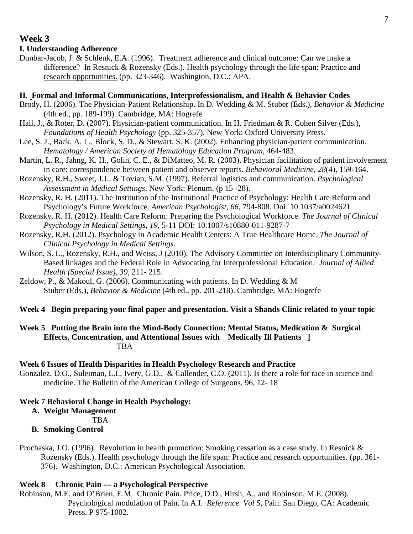#### 7

## **Week 3**

#### **I. Understanding Adherence**

Dunbar-Jacob, J. & Schlenk, E.A. (1996). Treatment adherence and clinical outcome: Can we make a difference? In Resnick & Rozensky (Eds.). Health psychology through the life span: Practice and research opportunities. (pp. 323-346). Washington, D.C.: APA.

#### **II. Formal and Informal Communications, Interprofessionalism, and Health & Behavior Codes**

- Brody, H. (2006). The Physician-Patient Relationship. In D. Wedding & M. Stuber (Eds.), *Behavior & Medicine* (4th ed., pp. 189-199). Cambridge, MA: Hogrefe.
- Hall, J., & Roter, D. (2007). Physician-patient communication. In H. Friedman & R. Cohen Silver (Eds.), *Foundations of Health Psychology* (pp. 325-357). New York: Oxford University Press.
- Lee, S. J., Back, A. L., Block, S. D., & Stewart, S. K. (2002). Enhancing physician-patient communication. *Hematology / American Society of Hematology Education Program*, 464-483.
- Martin, L. R., Jahng, K. H., Golin, C. E., & DiMatteo, M. R. (2003). Physician facilitation of patient involvement in care: correspondence between patient and observer reports. *Behavioral Medicine, 28*(4), 159-164.
- Rozensky, R.H., Sweet, J.J., & Tovian, S.M. (1997). Referral logistics and communication. *Psychological Assessment in Medical Settings*. New York: Plenum. (p 15 -28).
- Rozensky, R. H. (2011). The Institution of the Institutional Practice of Psychology: Health Care Reform and Psychology's Future Workforce. *American Psychologist, 66*, 794-808. Doi: 10.1037/a0024621
- Rozensky, R. H. (2012). Health Care Reform: Preparing the Psychological Workforce. *The Journal of Clinical Psychology in Medical Settings*, *19*, 5-11 DOI: 10.1007/s10880-011-9287-7
- Rozensky, R.H. (2012). Psychology in Academic Health Centers: A True Healthcare Home. *The Journal of Clinical Psychology in Medical Settings*.
- Wilson, S. L., Rozensky, R.H., and Weiss, J (2010). The Advisory Committee on Interdisciplinary Community-Based linkages and the Federal Role in Advocating for Interprofessional Education. *Journal of Allied Health (Special Issue), 39*, 211- 215.
- Zeldow, P., & Makoul, G. (2006). Communicating with patients. In D. Wedding  $\&$  M Stuber (Eds.), *Behavior & Medicine* (4th ed., pp. 201-218). Cambridge, MA: Hogrefe

## **Week 4 Begin preparing your final paper and presentation. Visit a Shands Clinic related to your topic**

## **Week 5 Putting the Brain into the Mind-Body Connection: Mental Status, Medication & Surgical Effects, Concentration, and Attentional Issues with Medically Ill Patients ]** TBA

#### **Week 6 Issues of Health Disparities in Health Psychology Research and Practice**

Gonzalez, D.O., Suleiman, L.I., Ivery, G.D., & Callender, C.O. (2011). Is there a role for race in science and medicine. The Bulletin of the American College of Surgeons, 96, 12- 18

#### **Week 7 Behavioral Change in Health Psychology:**

**A. Weight Management**

TBA

# **B. Smoking Control**

Prochaska, J.O. (1996). Revolution in health promotion: Smoking cessation as a case study. In Resnick  $\&$ Rozensky (Eds.). Health psychology through the life span: Practice and research opportunities. (pp. 361- 376). Washington, D.C.: American Psychological Association.

#### **Week 8 Chronic Pain --- a Psychological Perspective**

Robinson, M.E. and O'Brien, E.M. Chronic Pain. Price, D.D., Hirsh, A., and Robinson, M.E. (2008). Psychological modulation of Pain. In A.I. *Reference. Vol 5*, Pain. San Diego, CA: Academic Press. P 975-1002.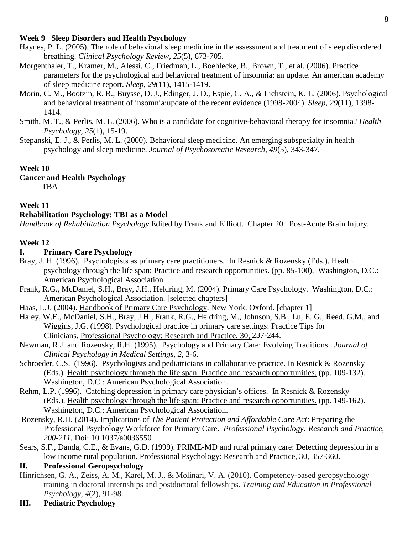## **Week 9 Sleep Disorders and Health Psychology**

- Haynes, P. L. (2005). The role of behavioral sleep medicine in the assessment and treatment of sleep disordered breathing. *Clinical Psychology Review, 25*(5), 673-705.
- Morgenthaler, T., Kramer, M., Alessi, C., Friedman, L., Boehlecke, B., Brown, T., et al. (2006). Practice parameters for the psychological and behavioral treatment of insomnia: an update. An american academy of sleep medicine report. *Sleep, 29*(11), 1415-1419.
- Morin, C. M., Bootzin, R. R., Buysse, D. J., Edinger, J. D., Espie, C. A., & Lichstein, K. L. (2006). Psychological and behavioral treatment of insomnia:update of the recent evidence (1998-2004). *Sleep, 29*(11), 1398- 1414.
- Smith, M. T., & Perlis, M. L. (2006). Who is a candidate for cognitive-behavioral therapy for insomnia? *Health Psychology, 25*(1), 15-19.
- Stepanski, E. J., & Perlis, M. L. (2000). Behavioral sleep medicine. An emerging subspecialty in health psychology and sleep medicine. *Journal of Psychosomatic Research, 49*(5), 343-347.

#### **Week 10**

#### **Cancer and Health Psychology**

TBA

## **Week 11**

#### **Rehabilitation Psychology: TBI as a Model**

*Handbook of Rehabilitation Psychology* Edited by Frank and Eilliott. Chapter 20. Post-Acute Brain Injury.

#### **Week 12**

# **I. Primary Care Psychology**

- Bray, J. H. (1996). Psychologists as primary care practitioners. In Resnick & Rozensky (Eds.). Health psychology through the life span: Practice and research opportunities. (pp. 85-100). Washington, D.C.: American Psychological Association.
- Frank, R.G., McDaniel, S.H., Bray, J.H., Heldring, M. (2004). Primary Care Psychology. Washington, D.C.: American Psychological Association. [selected chapters]
- Haas, L.J. (2004). Handbook of Primary Care Psychology. New York: Oxford. [chapter 1]
- Haley, W.E., McDaniel, S.H., Bray, J.H., Frank, R.G., Heldring, M., Johnson, S.B., Lu, E. G., Reed, G.M., and Wiggins, J.G. (1998). Psychological practice in primary care settings: Practice Tips for Clinicians. Professional Psychology: Research and Practice, 30, 237-244.
- Newman, R.J. and Rozensky, R.H. (1995). Psychology and Primary Care: Evolving Traditions. *Journal of Clinical Psychology in Medical Settings, 2,* 3-6.
- Schroeder, C.S. (1996). Psychologists and pediatricians in collaborative practice. In Resnick & Rozensky (Eds.). Health psychology through the life span: Practice and research opportunities. (pp. 109-132). Washington, D.C.: American Psychological Association.
- Rehm, L.P. (1996). Catching depression in primary care physician's offices. In Resnick & Rozensky (Eds.). Health psychology through the life span: Practice and research opportunities. (pp. 149-162). Washington, D.C.: American Psychological Association.
- Rozensky, R.H. (2014). Implications of *The Patient Protection and Affordable Care Act*: Preparing the Professional Psychology Workforce for Primary Care. *Professional Psychology: Research and Practice, 200-211.* Doi: 10.1037/a0036550
- Sears, S.F., Danda, C.E., & Evans, G.D. (1999). PRIME-MD and rural primary care: Detecting depression in a low income rural population. Professional Psychology: Research and Practice, 30, 357-360.

## **II. Professional Geropsychology**

- Hinrichsen, G. A., Zeiss, A. M., Karel, M. J., & Molinari, V. A. (2010). Competency-based geropsychology training in doctoral internships and postdoctoral fellowships. *Training and Education in Professional Psychology*, *4*(2), 91-98.
- **III. Pediatric Psychology**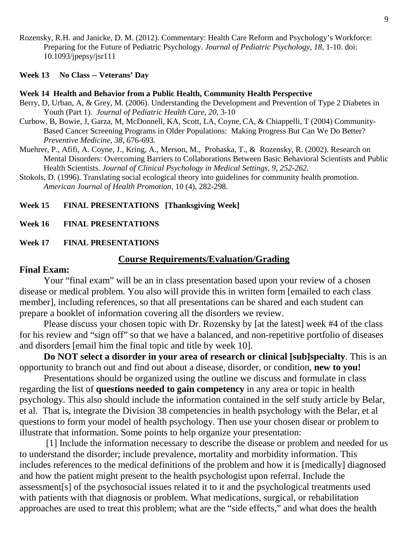Rozensky, R.H. and Janicke, D. M. (2012). Commentary: Health Care Reform and Psychology's Workforce: Preparing for the Future of Pediatric Psychology. *Journal of Pediatric Psychology, 18,* 1-10. doi: 10.1093/jpepsy/jsr111

#### **Week 13 No Class -- Veterans' Day**

#### **Week 14 Health and Behavior from a Public Health, Community Health Perspective**

- Berry, D, Urban, A, & Grey, M. (2006). Understanding the Development and Prevention of Type 2 Diabetes in Youth (Part 1). *Journal of Pediatric Health Care, 20,* 3-10
- Curbow, B, Bowie, J, Garza, M, McDonnell, KA, Scott, LA, Coyne, CA, & Chiappelli, T (2004) Community-Based Cancer Screening Programs in Older Populations: Making Progress But Can We Do Better? *Preventive Medicine, 38,* 676-693*.*
- Muehrer, P., Afifi, A. Coyne, J., Kring, A., Merson, M., Prohaska, T., & Rozensky, R. (2002). Research on Mental Disorders: Overcoming Barriers to Collaborations Between Basic Behavioral Scientists and Public Health Scientists. *Journal of Clinical Psychology in Medical Settings, 9, 252-262.*
- Stokols, D. (1996). Translating social ecological theory into guidelines for community health promotion. *American Journal of Health Promotion*, 10 (4), 282-298.

## **Week 15 FINAL PRESENTATIONS [Thanksgiving Week]**

**Week 16 FINAL PRESENTATIONS**

#### **Week 17 FINAL PRESENTATIONS**

#### **Course Requirements/Evaluation/Grading**

## **Final Exam:**

Your "final exam" will be an in class presentation based upon your review of a chosen disease or medical problem. You also will provide this in written form [emailed to each class member], including references, so that all presentations can be shared and each student can prepare a booklet of information covering all the disorders we review.

Please discuss your chosen topic with Dr. Rozensky by [at the latest] week #4 of the class for his review and "sign off" so that we have a balanced, and non-repetitive portfolio of diseases and disorders [email him the final topic and title by week 10].

**Do NOT select a disorder in your area of research or clinical [sub]specialty**. This is an opportunity to branch out and find out about a disease, disorder, or condition, **new to you!**

Presentations should be organized using the outline we discuss and formulate in class regarding the list of **questions needed to gain competency** in any area or topic in health psychology. This also should include the information contained in the self study article by Belar, et al. That is, integrate the Division 38 competencies in health psychology with the Belar, et al questions to form your model of health psychology. Then use your chosen disear or problem to illustrate that information. Some points to help organize your presentation:

[1] Include the information necessary to describe the disease or problem and needed for us to understand the disorder; include prevalence, mortality and morbidity information. This includes references to the medical definitions of the problem and how it is [medically] diagnosed and how the patient might present to the health psychologist upon referral. Include the assessment[s] of the psychosocial issues related it to it and the psychological treatments used with patients with that diagnosis or problem. What medications, surgical, or rehabilitation approaches are used to treat this problem; what are the "side effects," and what does the health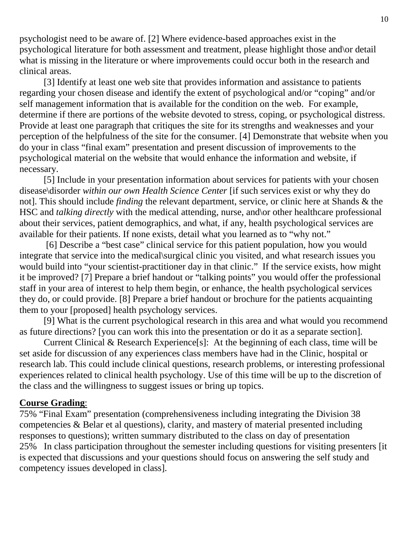psychologist need to be aware of. [2] Where evidence-based approaches exist in the psychological literature for both assessment and treatment, please highlight those and\or detail what is missing in the literature or where improvements could occur both in the research and clinical areas.

[3] Identify at least one web site that provides information and assistance to patients regarding your chosen disease and identify the extent of psychological and/or "coping" and/or self management information that is available for the condition on the web. For example, determine if there are portions of the website devoted to stress, coping, or psychological distress. Provide at least one paragraph that critiques the site for its strengths and weaknesses and your perception of the helpfulness of the site for the consumer. [4] Demonstrate that website when you do your in class "final exam" presentation and present discussion of improvements to the psychological material on the website that would enhance the information and website, if necessary.

[5] Include in your presentation information about services for patients with your chosen disease\disorder *within our own Health Science Center* [if such services exist or why they do not]. This should include *finding* the relevant department, service, or clinic here at Shands & the HSC and *talking directly* with the medical attending, nurse, and/or other healthcare professional about their services, patient demographics, and what, if any, health psychological services are available for their patients. If none exists, detail what you learned as to "why not."

[6] Describe a "best case" clinical service for this patient population, how you would integrate that service into the medical\surgical clinic you visited, and what research issues you would build into "your scientist-practitioner day in that clinic." If the service exists, how might it be improved? [7] Prepare a brief handout or "talking points" you would offer the professional staff in your area of interest to help them begin, or enhance, the health psychological services they do, or could provide. [8] Prepare a brief handout or brochure for the patients acquainting them to your [proposed] health psychology services.

[9] What is the current psychological research in this area and what would you recommend as future directions? [you can work this into the presentation or do it as a separate section].

Current Clinical & Research Experience[s]:At the beginning of each class, time will be set aside for discussion of any experiences class members have had in the Clinic, hospital or research lab. This could include clinical questions, research problems, or interesting professional experiences related to clinical health psychology. Use of this time will be up to the discretion of the class and the willingness to suggest issues or bring up topics.

# **Course Grading**:

75% "Final Exam" presentation (comprehensiveness including integrating the Division 38 competencies & Belar et al questions), clarity, and mastery of material presented including responses to questions); written summary distributed to the class on day of presentation 25% In class participation throughout the semester including questions for visiting presenters [it is expected that discussions and your questions should focus on answering the self study and competency issues developed in class].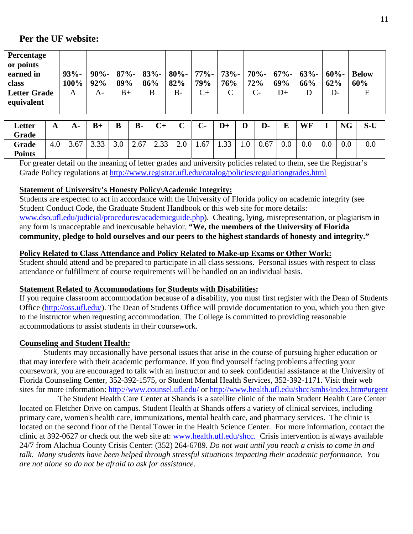# **Per the UF website:**

| Percentage          |         |     |      |                                                                  |      |      |               |      |     |     |         |              |
|---------------------|---------|-----|------|------------------------------------------------------------------|------|------|---------------|------|-----|-----|---------|--------------|
| or points           |         |     |      |                                                                  |      |      |               |      |     |     |         |              |
| earned in           | $93% -$ |     |      | $90\%$ -   87%-   83%-   80%-   77%-   73%-   70%-   67%-   63%- |      |      |               |      |     |     | $60% -$ | <b>Below</b> |
| class               | 100%    | 92% | 89%  | 86%                                                              | 82%  | 79%  | 76%           | 72%  | 69% | 66% | 62%     | 60%          |
| <b>Letter Grade</b> | A       | A-  | $B+$ | B                                                                | $B-$ | $C+$ | $\mathcal{C}$ | $C-$ | D+  | D   | D-      |              |
| equivalent          |         |     |      |                                                                  |      |      |               |      |     |     |         |              |
|                     |         |     |      |                                                                  |      |      |               |      |     |     |         |              |

| Letter<br>Grade | A   | $A-$ | $B+$           | B   | <b>B-</b> | $C+$       | $\sim$<br>ັ | $\mathbf{r}$<br>U- | $D+$ | D   | D-   | E   | <b>WF</b> |     | <b>NG</b> | $S-U$ |
|-----------------|-----|------|----------------|-----|-----------|------------|-------------|--------------------|------|-----|------|-----|-----------|-----|-----------|-------|
| Grade           | 4.0 | 3.67 | $\cap$<br>J.JJ | 3.0 | 2.67      | 23<br>ں ن⊾ | 2.0         | 1.67               | 1.33 | 0.1 | 0.67 | 0.0 | 0.0       | 0.0 | 0.0       | 0.0   |
| <b>Points</b>   |     |      |                |     |           |            |             |                    |      |     |      |     |           |     |           |       |

For greater detail on the meaning of letter grades and university policies related to them, see the Registrar's Grade Policy regulations at<http://www.registrar.ufl.edu/catalog/policies/regulationgrades.html>

# **Statement of University's Honesty Policy\Academic Integrity:**

Students are expected to act in accordance with the University of Florida policy on academic integrity (see Student Conduct Code, the Graduate Student Handbook or this web site for more details: [www.dso.ufl.edu/judicial/procedures/academicguide.php\)](http://www.dso.ufl.edu/judicial/procedures/academicguide.php). Cheating, lying, misrepresentation, or plagiarism in any form is unacceptable and inexcusable behavior. **"We, the members of the University of Florida community, pledge to hold ourselves and our peers to the highest standards of honesty and integrity."**

# **Policy Related to Class Attendance and Policy Related to Make-up Exams or Other Work:**

Student should attend and be prepared to participate in all class sessions. Personal issues with respect to class attendance or fulfillment of course requirements will be handled on an individual basis.

# **Statement Related to Accommodations for Students with Disabilities:**

If you require classroom accommodation because of a disability, you must first register with the Dean of Students Office [\(http://oss.ufl.edu/\)](http://oss.ufl.edu/). The Dean of Students Office will provide documentation to you, which you then give to the instructor when requesting accommodation. The College is committed to providing reasonable accommodations to assist students in their coursework.

# **Counseling and Student Health:**

Students may occasionally have personal issues that arise in the course of pursuing higher education or that may interfere with their academic performance. If you find yourself facing problems affecting your coursework, you are encouraged to talk with an instructor and to seek confidential assistance at the University of Florida Counseling Center, 352-392-1575, or Student Mental Health Services, 352-392-1171. Visit their web sites for more information:<http://www.counsel.ufl.edu/> or<http://www.health.ufl.edu/shcc/smhs/index.htm#urgent>

The Student Health Care Center at Shands is a satellite clinic of the main Student Health Care Center located on Fletcher Drive on campus. Student Health at Shands offers a variety of clinical services, including primary care, women's health care, immunizations, mental health care, and pharmacy services. The clinic is located on the second floor of the Dental Tower in the Health Science Center. For more information, contact the clinic at 392-0627 or check out the web site at: [www.health.ufl.edu/shcc.](http://www.health.ufl.edu/shcc) Crisis intervention is always available 24/7 from Alachua County Crisis Center: (352) 264-6789. *Do not wait until you reach a crisis to come in and talk. Many students have been helped through stressful situations impacting their academic performance. You are not alone so do not be afraid to ask for assistance*.